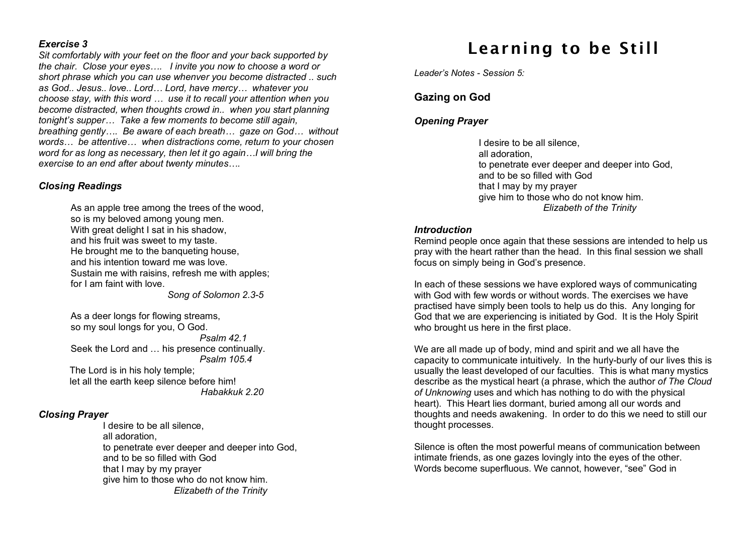#### *Exercise 3*

*Sit comfortably with your feet on the floor and your back supported by the chair. Close your eyes…. I invite you now to choose a word or short phrase which you can use whenver you become distracted .. such as God.. Jesus.. love.. Lord… Lord, have mercy… whatever you choose stay, with this word … use it to recall your attention when you become distracted, when thoughts crowd in.. when you start planning tonight's supper… Take a few moments to become still again, breathing gently…. Be aware of each breath… gaze on God… without words… be attentive… when distractions come, return to your chosen word for as long as necessary, then let it go again…I will bring the exercise to an end after about twenty minutes….*

#### *Closing Readings*

As an apple tree among the trees of the wood, so is my beloved among young men. With great delight I sat in his shadow, and his fruit was sweet to my taste. He brought me to the banqueting house, and his intention toward me was love. Sustain me with raisins, refresh me with apples; for I am faint with love.

*Song of Solomon 2.3-5*

As a deer longs for flowing streams, so my soul longs for you, O God. *Psalm 42.1* Seek the Lord and … his presence continually. *Psalm 105.4* The Lord is in his holy temple; let all the earth keep silence before him!

*Habakkuk 2.20*

#### *Closing Prayer*

I desire to be all silence, all adoration, to penetrate ever deeper and deeper into God, and to be so filled with God that I may by my prayer give him to those who do not know him. *Elizabeth of the Trinity*

# Learning to be Still

*Leader's Notes - Session 5:*

## **Gazing on God**

## *Opening Prayer*

I desire to be all silence, all adoration, to penetrate ever deeper and deeper into God, and to be so filled with God that I may by my prayer give him to those who do not know him. *Elizabeth of the Trinity*

#### *Introduction*

Remind people once again that these sessions are intended to help us pray with the heart rather than the head. In this final session we shall focus on simply being in God's presence.

In each of these sessions we have explored ways of communicating with God with few words or without words. The exercises we have practised have simply been tools to help us do this. Any longing for God that we are experiencing is initiated by God. It is the Holy Spirit who brought us here in the first place.

We are all made up of body, mind and spirit and we all have the capacity to communicate intuitively. In the hurly-burly of our lives this is usually the least developed of our faculties. This is what many mystics describe as the mystical heart (a phrase, which the author *of The Cloud of Unknowing* uses and which has nothing to do with the physical heart). This Heart lies dormant, buried among all our words and thoughts and needs awakening. In order to do this we need to still our thought processes.

Silence is often the most powerful means of communication between intimate friends, as one gazes lovingly into the eyes of the other. Words become superfluous. We cannot, however, "see" God in